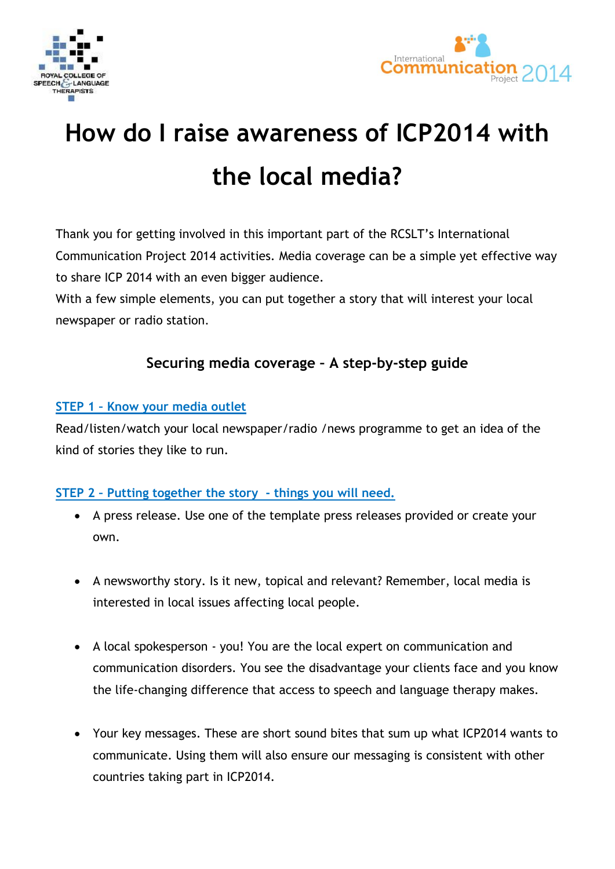



# **How do I raise awareness of ICP2014 with the local media?**

Thank you for getting involved in this important part of the RCSLT's International Communication Project 2014 activities. Media coverage can be a simple yet effective way to share ICP 2014 with an even bigger audience.

With a few simple elements, you can put together a story that will interest your local newspaper or radio station.

### **Securing media coverage – A step-by-step guide**

#### **STEP 1 – Know your media outlet**

Read/listen/watch your local newspaper/radio /news programme to get an idea of the kind of stories they like to run.

#### **STEP 2 – Putting together the story - things you will need.**

- A press release. Use one of the template press releases provided or create your own.
- A newsworthy story. Is it new, topical and relevant? Remember, local media is interested in local issues affecting local people.
- A local spokesperson you! You are the local expert on communication and communication disorders. You see the disadvantage your clients face and you know the life-changing difference that access to speech and language therapy makes.
- Your key messages. These are short sound bites that sum up what ICP2014 wants to communicate. Using them will also ensure our messaging is consistent with other countries taking part in ICP2014.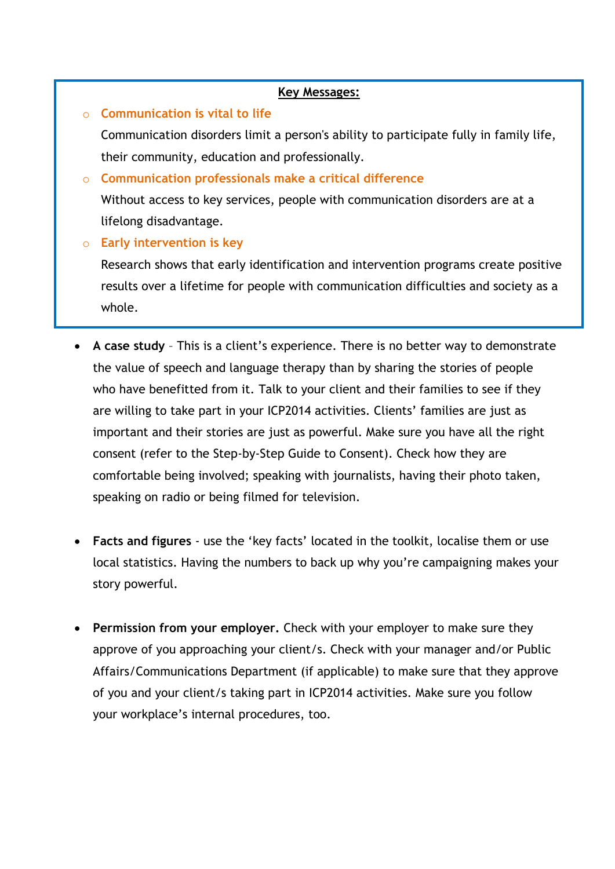## They are: o **Communication is vital to life**  Communication disorders limit a person's ability to participate fully in family life, their community, education and professionally. o **Communication professionals make a critical difference Key Messages:**  Without access to key services, people with communication disorders are at a lifelong disadvantage. o **Early intervention is key**  Research shows that early identification and intervention programs create positive results over a lifetime for people with communication difficulties and society as a whole.

- **A case study** This is a client's experience. There is no better way to demonstrate the value of speech and language therapy than by sharing the stories of people who have benefitted from it. Talk to your client and their families to see if they are willing to take part in your ICP2014 activities. Clients' families are just as important and their stories are just as powerful. Make sure you have all the right consent (refer to the Step-by-Step Guide to Consent). Check how they are comfortable being involved; speaking with journalists, having their photo taken, speaking on radio or being filmed for television.
- **Facts and figures** use the 'key facts' located in the toolkit, localise them or use local statistics. Having the numbers to back up why you're campaigning makes your story powerful.
- **Permission from your employer.** Check with your employer to make sure they approve of you approaching your client/s. Check with your manager and/or Public Affairs/Communications Department (if applicable) to make sure that they approve of you and your client/s taking part in ICP2014 activities. Make sure you follow your workplace's internal procedures, too.